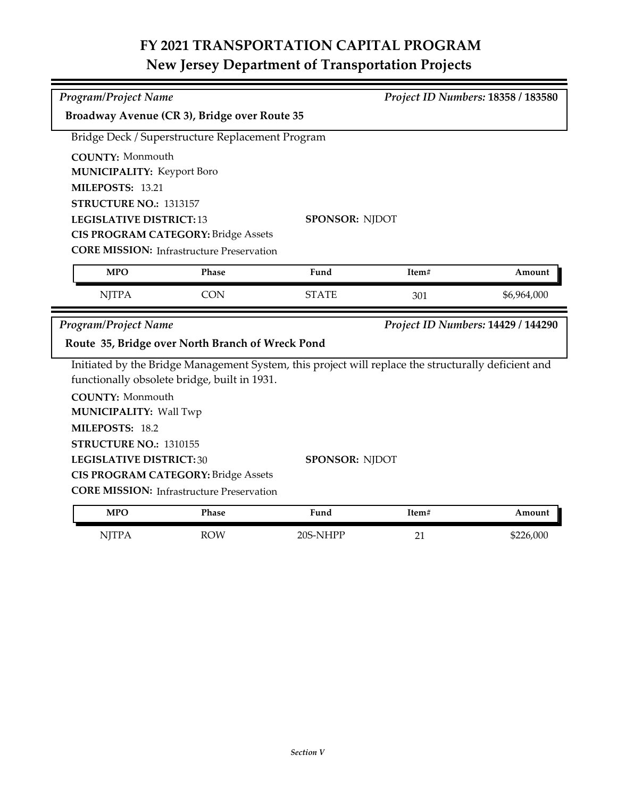## **FY 2021 TRANSPORTATION CAPITAL PROGRAM New Jersey Department of Transportation Projects**

| <b>Program/Project Name</b>                      |                                                  |                                                                                                     | Project ID Numbers: 18358 / 183580 |                                    |  |  |
|--------------------------------------------------|--------------------------------------------------|-----------------------------------------------------------------------------------------------------|------------------------------------|------------------------------------|--|--|
| Broadway Avenue (CR 3), Bridge over Route 35     |                                                  |                                                                                                     |                                    |                                    |  |  |
| Bridge Deck / Superstructure Replacement Program |                                                  |                                                                                                     |                                    |                                    |  |  |
| <b>COUNTY: Monmouth</b>                          |                                                  |                                                                                                     |                                    |                                    |  |  |
| <b>MUNICIPALITY: Keyport Boro</b>                |                                                  |                                                                                                     |                                    |                                    |  |  |
| MILEPOSTS: 13.21                                 |                                                  |                                                                                                     |                                    |                                    |  |  |
|                                                  | STRUCTURE NO.: 1313157                           |                                                                                                     |                                    |                                    |  |  |
| <b>LEGISLATIVE DISTRICT:13</b>                   |                                                  |                                                                                                     | <b>SPONSOR: NJDOT</b>              |                                    |  |  |
|                                                  | <b>CIS PROGRAM CATEGORY: Bridge Assets</b>       |                                                                                                     |                                    |                                    |  |  |
|                                                  | <b>CORE MISSION: Infrastructure Preservation</b> |                                                                                                     |                                    |                                    |  |  |
| <b>MPO</b>                                       | Phase                                            | Fund                                                                                                | Item#                              | Amount                             |  |  |
| <b>NJTPA</b>                                     | <b>CON</b>                                       | <b>STATE</b>                                                                                        | 301                                | \$6,964,000                        |  |  |
|                                                  |                                                  |                                                                                                     |                                    |                                    |  |  |
| Program/Project Name                             |                                                  |                                                                                                     |                                    | Project ID Numbers: 14429 / 144290 |  |  |
|                                                  | Route 35, Bridge over North Branch of Wreck Pond |                                                                                                     |                                    |                                    |  |  |
|                                                  |                                                  | Initiated by the Bridge Management System, this project will replace the structurally deficient and |                                    |                                    |  |  |
|                                                  | functionally obsolete bridge, built in 1931.     |                                                                                                     |                                    |                                    |  |  |
| <b>COUNTY: Monmouth</b>                          |                                                  |                                                                                                     |                                    |                                    |  |  |
| <b>MUNICIPALITY: Wall Twp</b>                    |                                                  |                                                                                                     |                                    |                                    |  |  |
| MILEPOSTS: 18.2                                  |                                                  |                                                                                                     |                                    |                                    |  |  |
| STRUCTURE NO.: 1310155                           |                                                  |                                                                                                     |                                    |                                    |  |  |
| <b>LEGISLATIVE DISTRICT:30</b>                   |                                                  | <b>SPONSOR: NJDOT</b>                                                                               |                                    |                                    |  |  |
|                                                  | <b>CIS PROGRAM CATEGORY: Bridge Assets</b>       |                                                                                                     |                                    |                                    |  |  |
|                                                  | <b>CORE MISSION:</b> Infrastructure Preservation |                                                                                                     |                                    |                                    |  |  |

| MPU          | rnase      | rund     | 1tem#   | Amount    |
|--------------|------------|----------|---------|-----------|
| <b>NJTPA</b> | <b>ROW</b> | 20S-NHPP | n.<br>∸ | \$226,000 |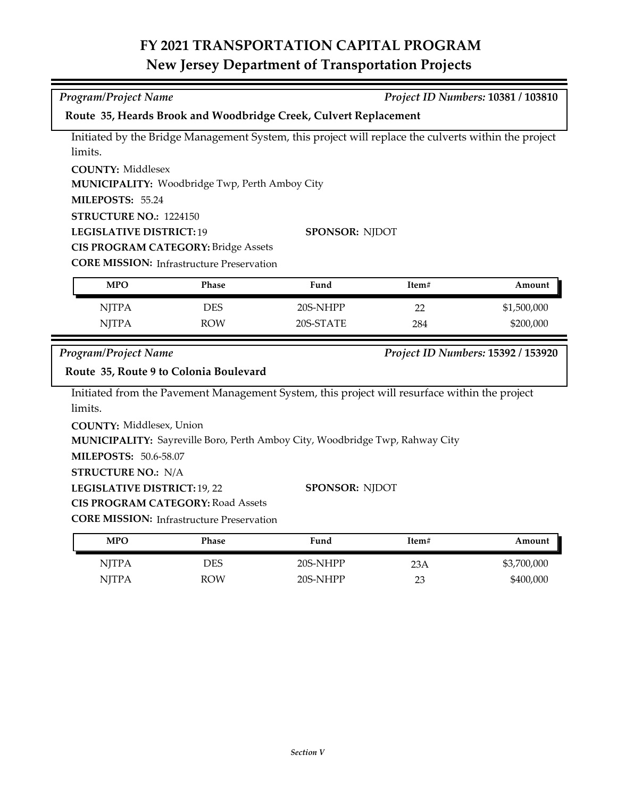## **FY 2021 TRANSPORTATION CAPITAL PROGRAM New Jersey Department of Transportation Projects**

| Program/Project Name<br>Project ID Numbers: 10381 / 103810<br>Route 35, Heards Brook and Woodbridge Creek, Culvert Replacement<br>Initiated by the Bridge Management System, this project will replace the culverts within the project<br>limits. |             |  |  |  |  |  |
|---------------------------------------------------------------------------------------------------------------------------------------------------------------------------------------------------------------------------------------------------|-------------|--|--|--|--|--|
|                                                                                                                                                                                                                                                   |             |  |  |  |  |  |
|                                                                                                                                                                                                                                                   |             |  |  |  |  |  |
|                                                                                                                                                                                                                                                   |             |  |  |  |  |  |
|                                                                                                                                                                                                                                                   |             |  |  |  |  |  |
| <b>COUNTY: Middlesex</b>                                                                                                                                                                                                                          |             |  |  |  |  |  |
| MUNICIPALITY: Woodbridge Twp, Perth Amboy City                                                                                                                                                                                                    |             |  |  |  |  |  |
| MILEPOSTS: 55.24                                                                                                                                                                                                                                  |             |  |  |  |  |  |
| STRUCTURE NO.: 1224150                                                                                                                                                                                                                            |             |  |  |  |  |  |
| <b>LEGISLATIVE DISTRICT: 19</b><br><b>SPONSOR: NJDOT</b>                                                                                                                                                                                          |             |  |  |  |  |  |
| <b>CIS PROGRAM CATEGORY: Bridge Assets</b>                                                                                                                                                                                                        |             |  |  |  |  |  |
| <b>CORE MISSION:</b> Infrastructure Preservation                                                                                                                                                                                                  |             |  |  |  |  |  |
| <b>MPO</b><br>Phase<br>Fund<br>Item#                                                                                                                                                                                                              | Amount      |  |  |  |  |  |
| <b>NJTPA</b><br><b>DES</b><br>20S-NHPP<br>22                                                                                                                                                                                                      | \$1,500,000 |  |  |  |  |  |
| <b>NJTPA</b><br>20S-STATE<br><b>ROW</b><br>284                                                                                                                                                                                                    | \$200,000   |  |  |  |  |  |
|                                                                                                                                                                                                                                                   |             |  |  |  |  |  |
| <b>Program/Project Name</b><br>Project ID Numbers: 15392 / 153920                                                                                                                                                                                 |             |  |  |  |  |  |
| Route 35, Route 9 to Colonia Boulevard                                                                                                                                                                                                            |             |  |  |  |  |  |
| Initiated from the Pavement Management System, this project will resurface within the project                                                                                                                                                     |             |  |  |  |  |  |
| limits.                                                                                                                                                                                                                                           |             |  |  |  |  |  |
| <b>COUNTY: Middlesex, Union</b>                                                                                                                                                                                                                   |             |  |  |  |  |  |
| MUNICIPALITY: Sayreville Boro, Perth Amboy City, Woodbridge Twp, Rahway City                                                                                                                                                                      |             |  |  |  |  |  |
| <b>MILEPOSTS: 50.6-58.07</b>                                                                                                                                                                                                                      |             |  |  |  |  |  |
| <b>STRUCTURE NO.: N/A</b>                                                                                                                                                                                                                         |             |  |  |  |  |  |
| LEGISLATIVE DISTRICT: 19, 22<br><b>SPONSOR: NJDOT</b>                                                                                                                                                                                             |             |  |  |  |  |  |
| <b>CIS PROGRAM CATEGORY: Road Assets</b>                                                                                                                                                                                                          |             |  |  |  |  |  |
| <b>CORE MISSION: Infrastructure Preservation</b>                                                                                                                                                                                                  |             |  |  |  |  |  |
| Fund<br>Item#<br><b>MPO</b><br>Phase                                                                                                                                                                                                              | Amount      |  |  |  |  |  |
| <b>NJTPA</b><br><b>DES</b><br>20S-NHPP<br>23A                                                                                                                                                                                                     | \$3,700,000 |  |  |  |  |  |
| <b>NJTPA</b><br>20S-NHPP<br><b>ROW</b><br>23                                                                                                                                                                                                      | \$400,000   |  |  |  |  |  |
|                                                                                                                                                                                                                                                   |             |  |  |  |  |  |
|                                                                                                                                                                                                                                                   |             |  |  |  |  |  |
|                                                                                                                                                                                                                                                   |             |  |  |  |  |  |
|                                                                                                                                                                                                                                                   |             |  |  |  |  |  |
|                                                                                                                                                                                                                                                   |             |  |  |  |  |  |